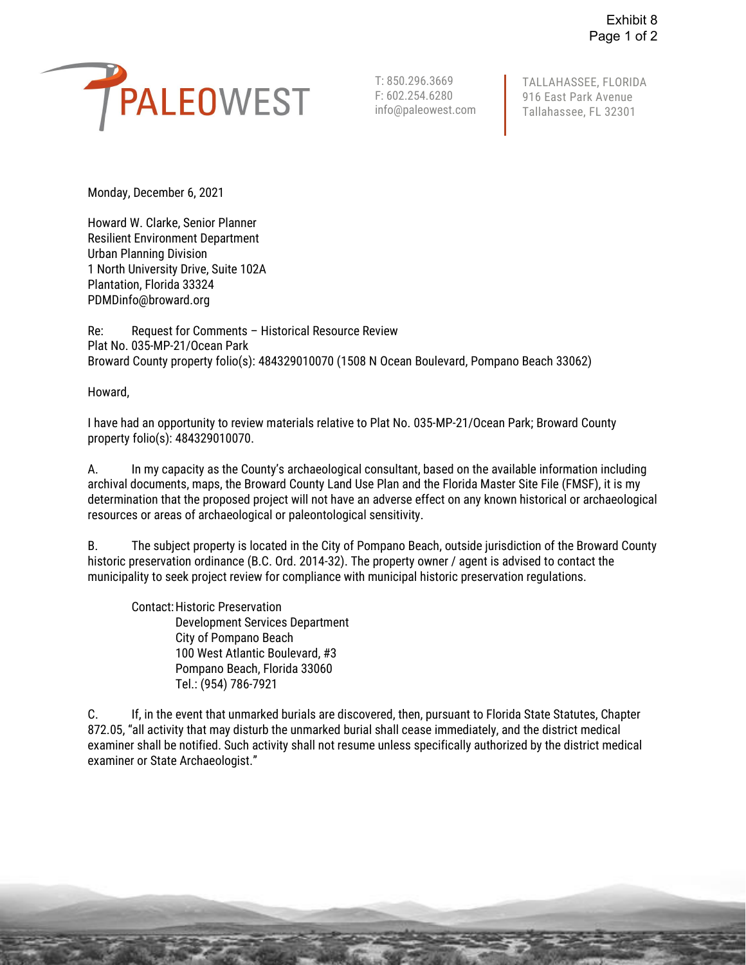

F: 602.254.6280 916 East Park Avenue info@paleowest.com Tallahassee, FL 32301 T: 850.296.3669 | TALLAHASSEE, FLORIDA<br>F: 602.254.6280 | 916 East Park Avenue

Monday, December 6, 2021

Howard W. Clarke, Senior Planner Resilient Environment Department Urban Planning Division 1 North University Drive, Suite 102A Plantation, Florida 33324 [PDMDinfo@broward.org](mailto:PDMDinfo@broward.org)

Re: Request for Comments – Historical Resource Review Plat No. 035-MP-21/Ocean Park Broward County property folio(s): 484329010070 (1508 N Ocean Boulevard, Pompano Beach 33062)

Howard,

I have had an opportunity to review materials relative to Plat No. 035-MP-21/Ocean Park; Broward County property folio(s): 484329010070.

 A. In my capacity as the County's archaeological consultant, based on the available information including archival documents, maps, the Broward County Land Use Plan and the Florida Master Site File (FMSF), it is my determination that the proposed project will not have an adverse effect on any known historical or archaeological resources or areas of archaeological or paleontological sensitivity.

B. The subject property is located in the City of Pompano Beach, outside jurisdiction of the Broward County historic preservation ordinance (B.C. Ord. 2014-32). The property owner / agent is advised to contact the municipality to seek project review for compliance with municipal historic preservation regulations.

Contact: Historic Preservation Development Services Department City of Pompano Beach 100 West Atlantic Boulevard, #3 Pompano Beach, Florida 33060 Tel.: (954) 786-7921

 872.05, "all activity that may disturb the unmarked burial shall cease immediately, and the district medical examiner shall be notified. Such activity shall not resume unless specifically authorized by the district medical C. If, in the event that unmarked burials are discovered, then, pursuant to Florida State Statutes, Chapter examiner or State Archaeologist."